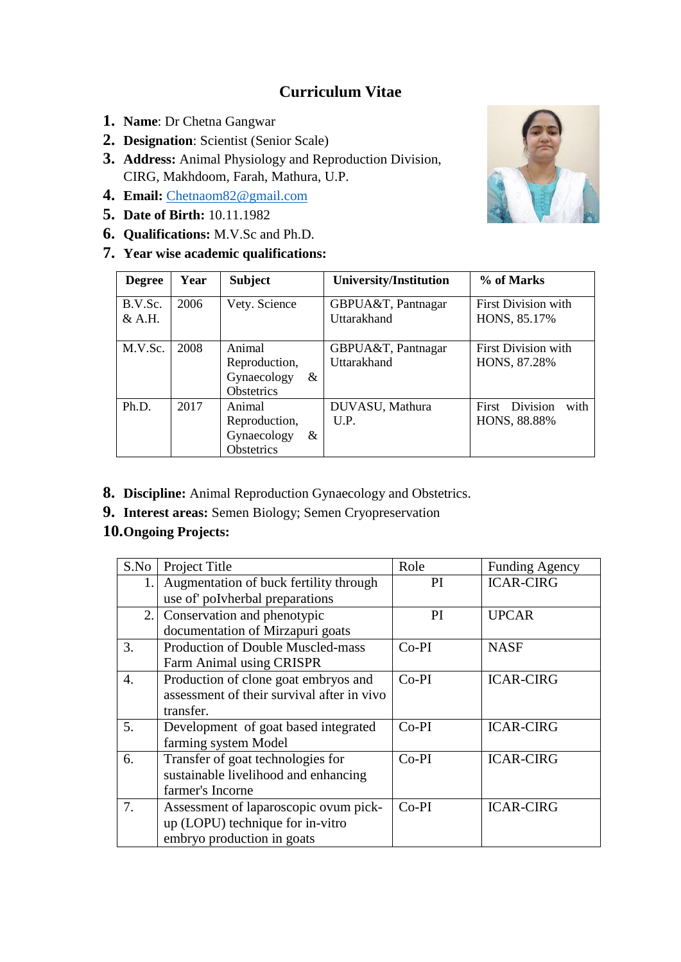## **Curriculum Vitae**

- **1. Name**: Dr Chetna Gangwar
- **2. Designation**: Scientist (Senior Scale)
- **3. Address:** Animal Physiology and Reproduction Division, CIRG, Makhdoom, Farah, Mathura, U.P.
- **4. Email:** [Chetnaom82@gmail.com](mailto:Chetnaom82@gmail.com)
- **5. Date of Birth:** 10.11.1982
- **6. Qualifications:** M.V.Sc and Ph.D.
- **7. Year wise academic qualifications:**



| <b>Degree</b>       | Year | <b>Subject</b>                                                   | <b>University/Institution</b>     | % of Marks                                 |
|---------------------|------|------------------------------------------------------------------|-----------------------------------|--------------------------------------------|
| B.V.Sc.<br>$&$ A.H. | 2006 | Vety. Science                                                    | GBPUA&T, Pantnagar<br>Uttarakhand | <b>First Division with</b><br>HONS, 85.17% |
| M.V.Sc.             | 2008 | Animal<br>Reproduction,<br>Gynaecology<br>&<br><b>Obstetrics</b> | GBPUA&T, Pantnagar<br>Uttarakhand | <b>First Division with</b><br>HONS, 87.28% |
| Ph.D.               | 2017 | Animal<br>Reproduction,<br>Gynaecology<br>&<br>Obstetrics        | DUVASU, Mathura<br>U.P.           | Division<br>with<br>First<br>HONS, 88.88%  |

- **8. Discipline:** Animal Reproduction Gynaecology and Obstetrics.
- **9. Interest areas:** Semen Biology; Semen Cryopreservation

## **10.Ongoing Projects:**

| S.No | Project Title                              | Role          | <b>Funding Agency</b> |
|------|--------------------------------------------|---------------|-----------------------|
| 1.   | Augmentation of buck fertility through     | <sub>PI</sub> | <b>ICAR-CIRG</b>      |
|      | use of polyherbal preparations             |               |                       |
| 2.   | Conservation and phenotypic                | PI            | <b>UPCAR</b>          |
|      | documentation of Mirzapuri goats           |               |                       |
| 3.   | <b>Production of Double Muscled-mass</b>   | $Co-PI$       | <b>NASF</b>           |
|      | Farm Animal using CRISPR                   |               |                       |
| 4.   | Production of clone goat embryos and       | $Co-PI$       | <b>ICAR-CIRG</b>      |
|      | assessment of their survival after in vivo |               |                       |
|      | transfer.                                  |               |                       |
| 5.   | Development of goat based integrated       | $Co-PI$       | <b>ICAR-CIRG</b>      |
|      | farming system Model                       |               |                       |
| 6.   | Transfer of goat technologies for          | $Co-PI$       | <b>ICAR-CIRG</b>      |
|      | sustainable livelihood and enhancing       |               |                       |
|      | farmer's Incorne                           |               |                       |
| 7.   | Assessment of laparoscopic ovum pick-      | Co-PI         | <b>ICAR-CIRG</b>      |
|      | up (LOPU) technique for in-vitro           |               |                       |
|      | embryo production in goats                 |               |                       |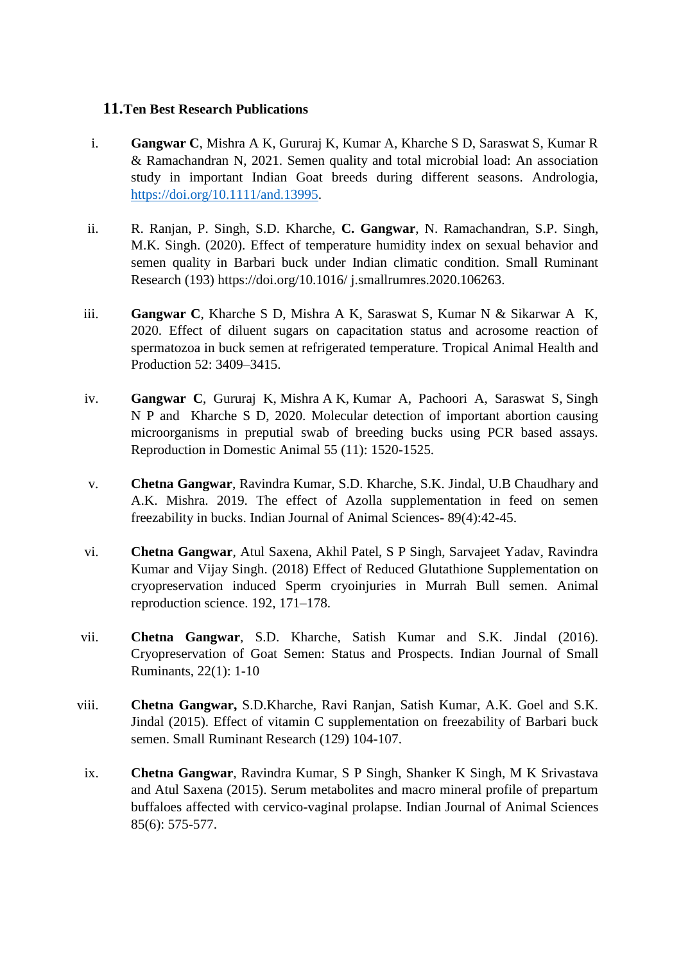## **11.Ten Best Research Publications**

- i. **Gangwar C**, Mishra A K, Gururaj K, Kumar A, Kharche S D, Saraswat S, Kumar R & Ramachandran N, 2021. Semen quality and total microbial load: An association study in important Indian Goat breeds during different seasons. Andrologia, [https://doi.org/10.1111/and.13995.](https://doi.org/10.1111/and.13995)
- ii. R. Ranjan, P. Singh, S.D. Kharche, **C. Gangwar**, N. Ramachandran, S.P. Singh, M.K. Singh. (2020). Effect of temperature humidity index on sexual behavior and semen quality in Barbari buck under Indian climatic condition. Small Ruminant Research (193) https://doi.org/10.1016/ j.smallrumres.2020.106263.
- iii. **Gangwar C**, Kharche S D, Mishra A K, Saraswat S, Kumar N & Sikarwar A K, 2020. Effect of diluent sugars on capacitation status and acrosome reaction of spermatozoa in buck semen at refrigerated temperature. Tropical Animal Health and Production 52: 3409–3415.
- iv. **Gangwar C**, Gururaj K, Mishra A K, Kumar A, Pachoori A, Saraswat S, Singh N P and Kharche S D, 2020. Molecular detection of important abortion causing microorganisms in preputial swab of breeding bucks using PCR based assays. Reproduction in Domestic Animal 55 (11): 1520-1525.
- v. **Chetna Gangwar**, Ravindra Kumar, S.D. Kharche, S.K. Jindal, U.B Chaudhary and A.K. Mishra. 2019. The effect of Azolla supplementation in feed on semen freezability in bucks. Indian Journal of Animal Sciences- 89(4):42-45.
- vi. **Chetna Gangwar**, Atul Saxena, Akhil Patel, S P Singh, Sarvajeet Yadav, Ravindra Kumar and Vijay Singh. (2018) Effect of Reduced Glutathione Supplementation on cryopreservation induced Sperm cryoinjuries in Murrah Bull semen. Animal reproduction science. 192, 171–178.
- vii. **Chetna Gangwar**, S.D. Kharche, Satish Kumar and S.K. Jindal (2016). Cryopreservation of Goat Semen: Status and Prospects. Indian Journal of Small Ruminants, 22(1): 1-10
- viii. **Chetna Gangwar,** S.D.Kharche, Ravi Ranjan, Satish Kumar, A.K. Goel and S.K. Jindal (2015). Effect of vitamin C supplementation on freezability of Barbari buck semen. Small Ruminant Research (129) 104-107.
- ix. **Chetna Gangwar**, Ravindra Kumar, S P Singh, Shanker K Singh, M K Srivastava and Atul Saxena (2015). Serum metabolites and macro mineral profile of prepartum buffaloes affected with cervico-vaginal prolapse. Indian Journal of Animal Sciences 85(6): 575-577.